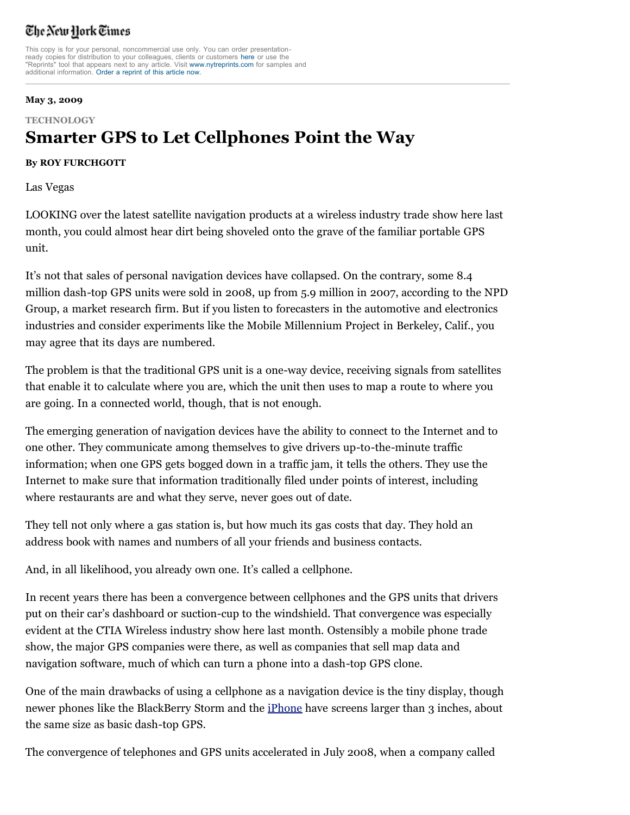## The New York Times

This copy is for your personal, noncommercial use only. You can order presentationready copies for distribution to your colleagues, clients or customers [here](http://www.nytimes.com/2009/05/03/automobiles/03DASHTOP.html?_r=2&sq=Furst%20GPS&st=cse&scp=1&pagewanted=print#) or use the "Reprints" tool that appears next to any article. Visit [www.nytreprints.com](http://www.nytreprints.com/) for samples and additional information. [Order a reprint of this article now.](http://www.nytimes.com/2009/05/03/automobiles/03DASHTOP.html?_r=2&sq=Furst%20GPS&st=cse&scp=1&pagewanted=print#)

## **May 3, 2009**

**TECHNOLOGY**

## **Smarter GPS to Let Cellphones Point the Way**

## **By ROY FURCHGOTT**

Las Vegas

LOOKING over the latest satellite navigation products at a wireless industry trade show here last month, you could almost hear dirt being shoveled onto the grave of the familiar portable GPS unit.

It's not that sales of personal navigation devices have collapsed. On the contrary, some 8.4 million dash-top GPS units were sold in 2008, up from 5.9 million in 2007, according to the NPD Group, a market research firm. But if you listen to forecasters in the automotive and electronics industries and consider experiments like the Mobile Millennium Project in Berkeley, Calif., you may agree that its days are numbered.

The problem is that the traditional GPS unit is a one-way device, receiving signals from satellites that enable it to calculate where you are, which the unit then uses to map a route to where you are going. In a connected world, though, that is not enough.

The emerging generation of navigation devices have the ability to connect to the Internet and to one other. They communicate among themselves to give drivers up-to-the-minute traffic information; when one GPS gets bogged down in a traffic jam, it tells the others. They use the Internet to make sure that information traditionally filed under points of interest, including where restaurants are and what they serve, never goes out of date.

They tell not only where a gas station is, but how much its gas costs that day. They hold an address book with names and numbers of all your friends and business contacts.

And, in all likelihood, you already own one. It's called a cellphone.

In recent years there has been a convergence between cellphones and the GPS units that drivers put on their car's dashboard or suction-cup to the windshield. That convergence was especially evident at the CTIA Wireless industry show here last month. Ostensibly a mobile phone trade show, the major GPS companies were there, as well as companies that sell map data and navigation software, much of which can turn a phone into a dash-top GPS clone.

One of the main drawbacks of using a cellphone as a navigation device is the tiny display, though newer phones like the BlackBerry Storm and the [iPhone](http://topics.nytimes.com/top/reference/timestopics/subjects/i/iphone/index.html?inline=nyt-classifier) have screens larger than 3 inches, about the same size as basic dash-top GPS.

The convergence of telephones and GPS units accelerated in July 2008, when a company called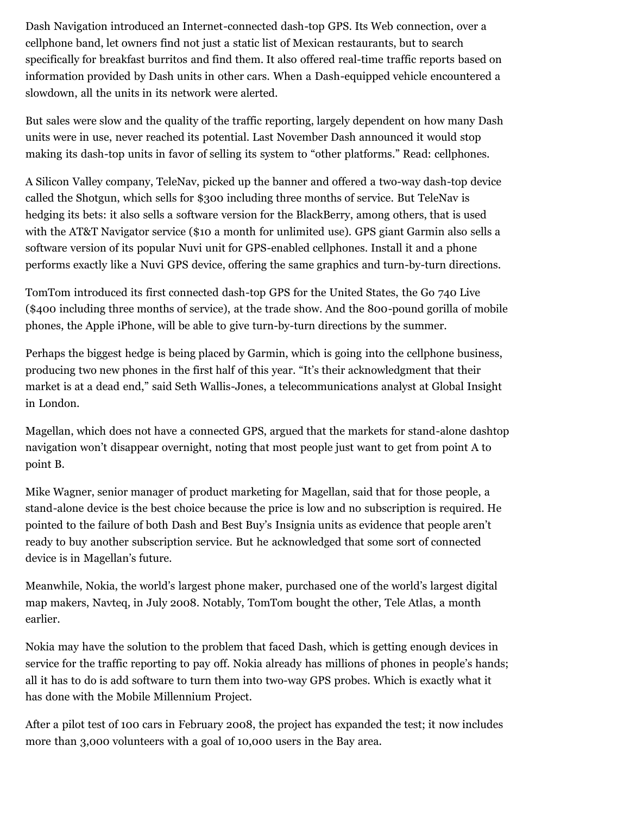Dash Navigation introduced an Internet-connected dash-top GPS. Its Web connection, over a cellphone band, let owners find not just a static list of Mexican restaurants, but to search specifically for breakfast burritos and find them. It also offered real-time traffic reports based on information provided by Dash units in other cars. When a Dash-equipped vehicle encountered a slowdown, all the units in its network were alerted.

But sales were slow and the quality of the traffic reporting, largely dependent on how many Dash units were in use, never reached its potential. Last November Dash announced it would stop making its dash-top units in favor of selling its system to "other platforms." Read: cellphones.

A Silicon Valley company, TeleNav, picked up the banner and offered a two-way dash-top device called the Shotgun, which sells for \$300 including three months of service. But TeleNav is hedging its bets: it also sells a software version for the BlackBerry, among others, that is used with the AT&T Navigator service (\$10 a month for unlimited use). GPS giant Garmin also sells a software version of its popular Nuvi unit for GPS-enabled cellphones. Install it and a phone performs exactly like a Nuvi GPS device, offering the same graphics and turn-by-turn directions.

TomTom introduced its first connected dash-top GPS for the United States, the Go 740 Live (\$400 including three months of service), at the trade show. And the 800-pound gorilla of mobile phones, the Apple iPhone, will be able to give turn-by-turn directions by the summer.

Perhaps the biggest hedge is being placed by Garmin, which is going into the cellphone business, producing two new phones in the first half of this year. "It's their acknowledgment that their market is at a dead end," said Seth Wallis-Jones, a telecommunications analyst at Global Insight in London.

Magellan, which does not have a connected GPS, argued that the markets for stand-alone dashtop navigation won't disappear overnight, noting that most people just want to get from point A to point B.

Mike Wagner, senior manager of product marketing for Magellan, said that for those people, a stand-alone device is the best choice because the price is low and no subscription is required. He pointed to the failure of both Dash and Best Buy's Insignia units as evidence that people aren't ready to buy another subscription service. But he acknowledged that some sort of connected device is in Magellan's future.

Meanwhile, Nokia, the world's largest phone maker, purchased one of the world's largest digital map makers, Navteq, in July 2008. Notably, TomTom bought the other, Tele Atlas, a month earlier.

Nokia may have the solution to the problem that faced Dash, which is getting enough devices in service for the traffic reporting to pay off. Nokia already has millions of phones in people's hands; all it has to do is add software to turn them into two-way GPS probes. Which is exactly what it has done with the Mobile Millennium Project.

After a pilot test of 100 cars in February 2008, the project has expanded the test; it now includes more than 3,000 volunteers with a goal of 10,000 users in the Bay area.